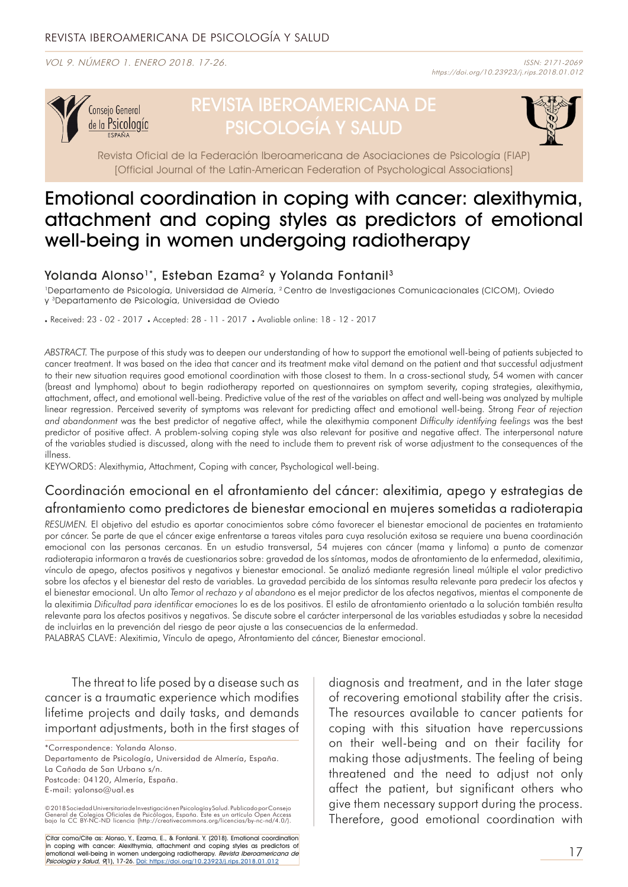VOL 9. NÚMERO 1. ENERO 2018. 17-26.



# REVISTA IBEROAMERICANA DE PSICOLOGÍA Y SALUD



Revista Oficial de la Federación Iberoamericana de Asociaciones de Psicología (FIAP) [Official Journal of the Latin-American Federation of Psychological Associations]

# Emotional coordination in coping with cancer: alexithymia, attachment and coping styles as predictors of emotional well-being in women undergoing radiotherapy

## Yolanda Alonso<sup>1\*</sup>, Esteban Ezama<sup>2</sup> y Yolanda Fontanil<sup>3</sup>

1Departamento de Psicología, Universidad de Almería, 2 Centro de Investigaciones Comunicacionales (CICOM), Oviedo y 3Departamento de Psicología, Universidad de Oviedo

. Received: 23 - 02 - 2017 . Accepted: 28 - 11 - 2017 . Avaliable online: 18 - 12 - 2017

*ABSTRACT.* The purpose of this study was to deepen our understanding of how to support the emotional well-being of patients subjected to cancer treatment. It was based on the idea that cancer and its treatment make vital demand on the patient and that successful adjustment to their new situation requires good emotional coordination with those closest to them. In a cross-sectional study, 54 women with cancer (breast and lymphoma) about to begin radiotherapy reported on questionnaires on symptom severity, coping strategies, alexithymia, attachment, affect, and emotional well-being. Predictive value of the rest of the variables on affect and well-being was analyzed by multiple linear regression. Perceived severity of symptoms was relevant for predicting affect and emotional well-being. Strong *Fear of rejection and abandonment* was the best predictor of negative affect, while the alexithymia component *Difficulty identifying feelings* was the best predictor of positive affect. A problem-solving coping style was also relevant for positive and negative affect. The interpersonal nature of the variables studied is discussed, along with the need to include them to prevent risk of worse adjustment to the consequences of the illness.

KEYWORDS: Alexithymia, Attachment, Coping with cancer, Psychological well-being.

# Coordinación emocional en el afrontamiento del cáncer: alexitimia, apego y estrategias de afrontamiento como predictores de bienestar emocional en mujeres sometidas a radioterapia

*RESUMEN.* El objetivo del estudio es aportar conocimientos sobre cómo favorecer el bienestar emocional de pacientes en tratamiento por cáncer. Se parte de que el cáncer exige enfrentarse a tareas vitales para cuya resolución exitosa se requiere una buena coordinación emocional con las personas cercanas. En un estudio transversal, 54 mujeres con cáncer (mama y linfoma) a punto de comenzar radioterapia informaron a través de cuestionarios sobre: gravedad de los síntomas, modos de afrontamiento de la enfermedad, alexitimia, vínculo de apego, afectos positivos y negativos y bienestar emocional. Se analizó mediante regresión lineal múltiple el valor predictivo sobre los afectos y el bienestar del resto de variables. La gravedad percibida de los síntomas resulta relevante para predecir los afectos y el bienestar emocional. Un alto *Temor al rechazo y al abandono* es el mejor predictor de los afectos negativos, mientas el componente de la alexitimia *Dificultad para identificar emociones* lo es de los positivos. El estilo de afrontamiento orientado a la solución también resulta relevante para los afectos positivos y negativos. Se discute sobre el carácter interpersonal de las variables estudiadas y sobre la necesidad de incluirlas en la prevención del riesgo de peor ajuste a las consecuencias de la enfermedad.

PALABRAS CLAVE: Alexitimia, Vínculo de apego, Afrontamiento del cáncer, Bienestar emocional.

The threat to life posed by a disease such as cancer is a traumatic experience which modifies lifetime projects and daily tasks, and demands important adjustments, both in the first stages of

\*Correspondence: Yolanda Alonso.

Departamento de Psicología, Universidad de Almería, España. La Cañada de San Urbano s/n. Postcode: 04120, Almería, España. E-mail: yalonso@ual.es

© 2018 Sociedad Universitaria de Investigación en Psicología y Salud, Publicado por Consejo<br>General de Colegios Oficiales de Psicólogos, España. Este es un artículo Open Access<br>bajo la CC BY-NC-ND licencia (http://creative

Citar como/Cite as: Alonso, Y., Ezama, E., & Fontanil. Y. (2018). Emotional coordination in coping with cancer: Alexithymia, attachment and coping styles as predictors of emotional well-being in women undergoing radiotherapy. *Revista Iberoamericana de*<br>Psi*cología y Salud, 9*(1), 17-26. <u>Doi: <https://doi.org/10.23923/j.rips.2018.01.012></u> diagnosis and treatment, and in the later stage of recovering emotional stability after the crisis. The resources available to cancer patients for coping with this situation have repercussions on their well-being and on their facility for making those adjustments. The feeling of being threatened and the need to adjust not only affect the patient, but significant others who give them necessary support during the process. Therefore, good emotional coordination with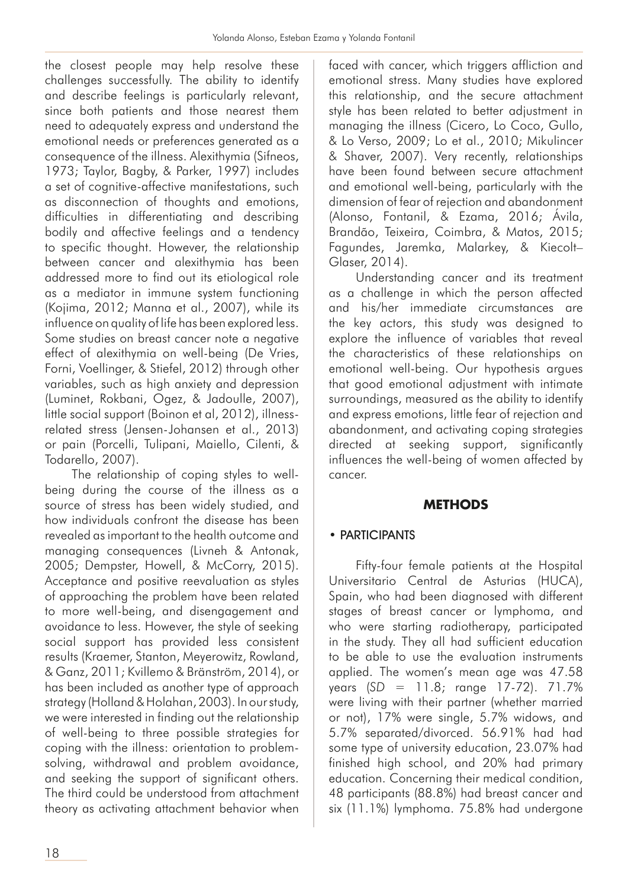the closest people may help resolve these challenges successfully. The ability to identify and describe feelings is particularly relevant, since both patients and those nearest them need to adequately express and understand the emotional needs or preferences generated as a consequence of the illness. Alexithymia (Sifneos, 1973; Taylor, Bagby, & Parker, 1997) includes a set of cognitive-affective manifestations, such as disconnection of thoughts and emotions, difficulties in differentiating and describing bodily and affective feelings and a tendency to specific thought. However, the relationship between cancer and alexithymia has been addressed more to find out its etiological role as a mediator in immune system functioning (Kojima, 2012; Manna et al., 2007), while its influence on quality of life has been explored less. Some studies on breast cancer note a negative effect of alexithymia on well-being (De Vries, Forni, Voellinger, & Stiefel, 2012) through other variables, such as high anxiety and depression (Luminet, Rokbani, Ogez, & Jadoulle, 2007), little social support (Boinon et al, 2012), illnessrelated stress (Jensen-Johansen et al., 2013) or pain (Porcelli, Tulipani, Maiello, Cilenti, & Todarello, 2007).

The relationship of coping styles to wellbeing during the course of the illness as a source of stress has been widely studied, and how individuals confront the disease has been revealed as important to the health outcome and managing consequences (Livneh & Antonak, 2005; Dempster, Howell, & McCorry, 2015). Acceptance and positive reevaluation as styles of approaching the problem have been related to more well-being, and disengagement and avoidance to less. However, the style of seeking social support has provided less consistent results (Kraemer, Stanton, Meyerowitz, Rowland, & Ganz, 2011; Kvillemo & Bränström, 2014), or has been included as another type of approach strategy (Holland & Holahan, 2003). In our study, we were interested in finding out the relationship of well-being to three possible strategies for coping with the illness: orientation to problemsolving, withdrawal and problem avoidance, and seeking the support of significant others. The third could be understood from attachment theory as activating attachment behavior when

faced with cancer, which triggers affliction and emotional stress. Many studies have explored this relationship, and the secure attachment style has been related to better adjustment in managing the illness (Cicero, Lo Coco, Gullo, & Lo Verso, 2009; Lo et al., 2010; Mikulincer & Shaver, 2007). Very recently, relationships have been found between secure attachment and emotional well-being, particularly with the dimension of fear of rejection and abandonment (Alonso, Fontanil, & Ezama, 2016; Ávila, Brandão, Teixeira, Coimbra, & Matos, 2015; Fagundes, Jaremka, Malarkey, & Kiecolt– Glaser, 2014).

Understanding cancer and its treatment as a challenge in which the person affected and his/her immediate circumstances are the key actors, this study was designed to explore the influence of variables that reveal the characteristics of these relationships on emotional well-being. Our hypothesis argues that good emotional adjustment with intimate surroundings, measured as the ability to identify and express emotions, little fear of rejection and abandonment, and activating coping strategies directed at seeking support, significantly influences the well-being of women affected by cancer.

### **METHODS**

# • PARTICIPANTS

Fifty-four female patients at the Hospital Universitario Central de Asturias (HUCA), Spain, who had been diagnosed with different stages of breast cancer or lymphoma, and who were starting radiotherapy, participated in the study. They all had sufficient education to be able to use the evaluation instruments applied. The women's mean age was 47.58 years (*SD* = 11.8; range 17-72). 71.7% were living with their partner (whether married or not), 17% were single, 5.7% widows, and 5.7% separated/divorced. 56.91% had had some type of university education, 23.07% had finished high school, and 20% had primary education. Concerning their medical condition, 48 participants (88.8%) had breast cancer and six (11.1%) lymphoma. 75.8% had undergone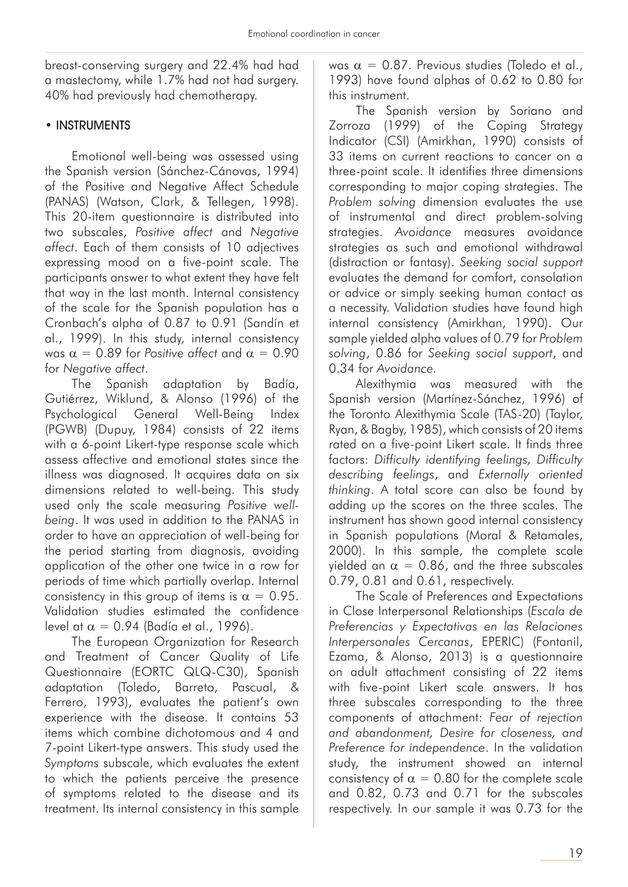breast-conserving surgery and 22.4% had had a mastectomy, while 1.7% had not had surgery. 40% had previously had chemotherapy.

### • INSTRUMENTS

Emotional well-being was assessed using the Spanish version (Sánchez-Cánovas, 1994) of the Positive and Negative Affect Schedule (PANAS) (Watson, Clark, & Tellegen, 1998). This 20-item questionnaire is distributed into two subscales, *Positive affect* and *Negative affect*. Each of them consists of 10 adjectives expressing mood on a five-point scale. The participants answer to what extent they have felt that way in the last month. Internal consistency of the scale for the Spanish population has a Cronbach's alpha of 0.87 to 0.91 (Sandín et al., 1999). In this study, internal consistency was  $\alpha = 0.89$  for *Positive affect* and  $\alpha = 0.90$ for *Negative affect*.

The Spanish adaptation by Badía, Gutiérrez, Wiklund, & Alonso (1996) of the Psychological General Well-Being Index (PGWB) (Dupuy, 1984) consists of 22 items with a 6-point Likert-type response scale which assess affective and emotional states since the illness was diagnosed. It acquires data on six dimensions related to well-being. This study used only the scale measuring *Positive wellbeing*. It was used in addition to the PANAS in order to have an appreciation of well-being for the period starting from diagnosis, avoiding application of the other one twice in a row for periods of time which partially overlap. Internal consistency in this group of items is  $\alpha = 0.95$ . Validation studies estimated the confidence level at  $\alpha = 0.94$  (Badía et al., 1996).

The European Organization for Research and Treatment of Cancer Quality of Life Questionnaire (EORTC QLQ-C30), Spanish adaptation (Toledo, Barreto, Pascual, & Ferrero, 1993), evaluates the patient's own experience with the disease. It contains 53 items which combine dichotomous and 4 and 7-point Likert-type answers. This study used the *Symptoms* subscale, which evaluates the extent to which the patients perceive the presence of symptoms related to the disease and its treatment. Its internal consistency in this sample was  $\alpha = 0.87$ . Previous studies (Toledo et al., 1993) have found alphas of 0.62 to 0.80 for this instrument.

The Spanish version by Soriano and Zorroza (1999) of the Coping Strategy Indicator (CSI) (Amirkhan, 1990) consists of 33 items on current reactions to cancer on a three-point scale. It identifies three dimensions corresponding to major coping strategies. The *Problem solving* dimension evaluates the use of instrumental and direct problem-solving strategies. *Avoidance* measures avoidance strategies as such and emotional withdrawal (distraction or fantasy). *Seeking social support*  evaluates the demand for comfort, consolation or advice or simply seeking human contact as a necessity. Validation studies have found high internal consistency (Amirkhan, 1990). Our sample yielded alpha values of 0.79 for *Problem solving*, 0.86 for *Seeking social support*, and 0.34 for *Avoidance.*

Alexithymia was measured with the Spanish version (Martínez-Sánchez, 1996) of the Toronto Alexithymia Scale (TAS-20) (Taylor, Ryan, & Bagby, 1985), which consists of 20 items rated on a five-point Likert scale. It finds three factors: *Difficulty identifying feelings, Difficulty describing feelings*, and *Externally oriented thinking*. A total score can also be found by adding up the scores on the three scales. The instrument has shown good internal consistency in Spanish populations (Moral & Retamales, 2000). In this sample, the complete scale yielded an  $\alpha = 0.86$ , and the three subscales 0.79, 0.81 and 0.61, respectively.

The Scale of Preferences and Expectations in Close Interpersonal Relationships (*Escala de Preferencias y Expectativas en las Relaciones Interpersonales Cercanas*, EPERIC) (Fontanil, Ezama, & Alonso, 2013) is a questionnaire on adult attachment consisting of 22 items with five-point Likert scale answers. It has three subscales corresponding to the three components of attachment: *Fear of rejection and abandonment, Desire for closeness, and Preference for independence*. In the validation study, the instrument showed an internal consistency of  $\alpha = 0.80$  for the complete scale and 0.82, 0.73 and 0.71 for the subscales respectively. In our sample it was 0.73 for the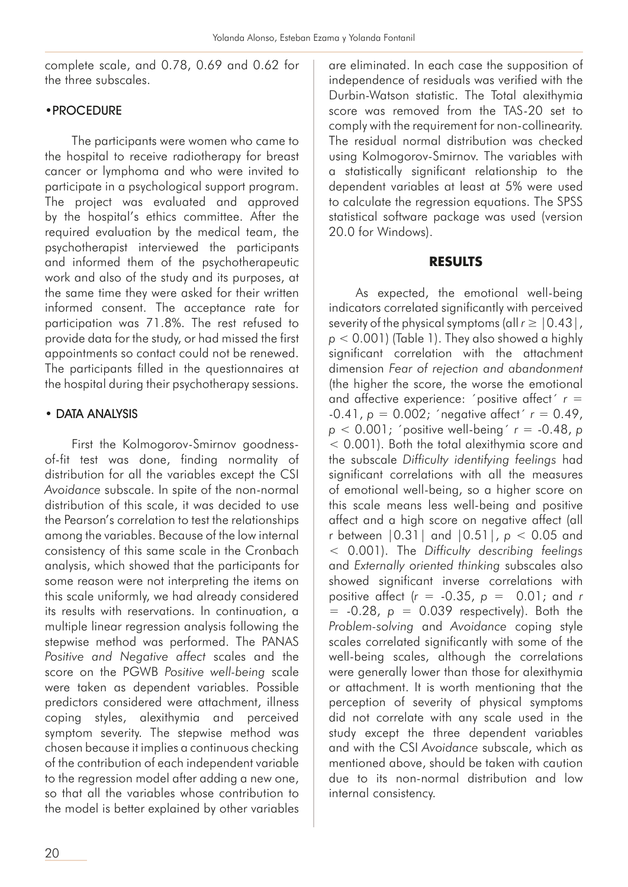complete scale, and 0.78, 0.69 and 0.62 for the three subscales.

#### •PROCEDURE

The participants were women who came to the hospital to receive radiotherapy for breast cancer or lymphoma and who were invited to participate in a psychological support program. The project was evaluated and approved by the hospital's ethics committee. After the required evaluation by the medical team, the psychotherapist interviewed the participants and informed them of the psychotherapeutic work and also of the study and its purposes, at the same time they were asked for their written informed consent. The acceptance rate for participation was 71.8%. The rest refused to provide data for the study, or had missed the first appointments so contact could not be renewed. The participants filled in the questionnaires at the hospital during their psychotherapy sessions.

### • DATA ANALYSIS

First the Kolmogorov-Smirnov goodnessof-fit test was done, finding normality of distribution for all the variables except the CSI *Avoidance* subscale. In spite of the non-normal distribution of this scale, it was decided to use the Pearson's correlation to test the relationships among the variables. Because of the low internal consistency of this same scale in the Cronbach analysis, which showed that the participants for some reason were not interpreting the items on this scale uniformly, we had already considered its results with reservations. In continuation, a multiple linear regression analysis following the stepwise method was performed. The PANAS *Positive and Negative affect* scales and the score on the PGWB *Positive well-being* scale were taken as dependent variables. Possible predictors considered were attachment, illness coping styles, alexithymia and perceived symptom severity. The stepwise method was chosen because it implies a continuous checking of the contribution of each independent variable to the regression model after adding a new one, so that all the variables whose contribution to the model is better explained by other variables

are eliminated. In each case the supposition of independence of residuals was verified with the Durbin-Watson statistic. The Total alexithymia score was removed from the TAS-20 set to comply with the requirement for non-collinearity. The residual normal distribution was checked using Kolmogorov-Smirnov. The variables with a statistically significant relationship to the dependent variables at least at 5% were used to calculate the regression equations. The SPSS statistical software package was used (version 20.0 for Windows).

#### **RESULTS**

As expected, the emotional well-being indicators correlated significantly with perceived severity of the physical symptoms (all  $r \geq 0.43$ ), *p* < 0.001) (Table 1). They also showed a highly significant correlation with the attachment dimension *Fear of rejection and abandonment*  (the higher the score, the worse the emotional and affective experience: 'positive affect'  $r =$  $-0.41, p = 0.002$ ; 'negative affect'  $r = 0.49$ , *p* < 0.001; ´positive well-being´ *r* = -0.48, *p*  $<$  0.001). Both the total alexithymia score and the subscale *Difficulty identifying feelings* had significant correlations with all the measures of emotional well-being, so a higher score on this scale means less well-being and positive affect and a high score on negative affect (all r between |0.31| and |0.51|, *p* < 0.05 and < 0.001). The *Difficulty describing feelings* and *Externally oriented thinking* subscales also showed significant inverse correlations with positive affect (*r* = -0.35, *p* = 0.01; and *r*   $= -0.28$ ,  $p = 0.039$  respectively). Both the *Problem-solving* and *Avoidance* coping style scales correlated significantly with some of the well-being scales, although the correlations were generally lower than those for alexithymia or attachment. It is worth mentioning that the perception of severity of physical symptoms did not correlate with any scale used in the study except the three dependent variables and with the CSI *Avoidance* subscale, which as mentioned above, should be taken with caution due to its non-normal distribution and low internal consistency.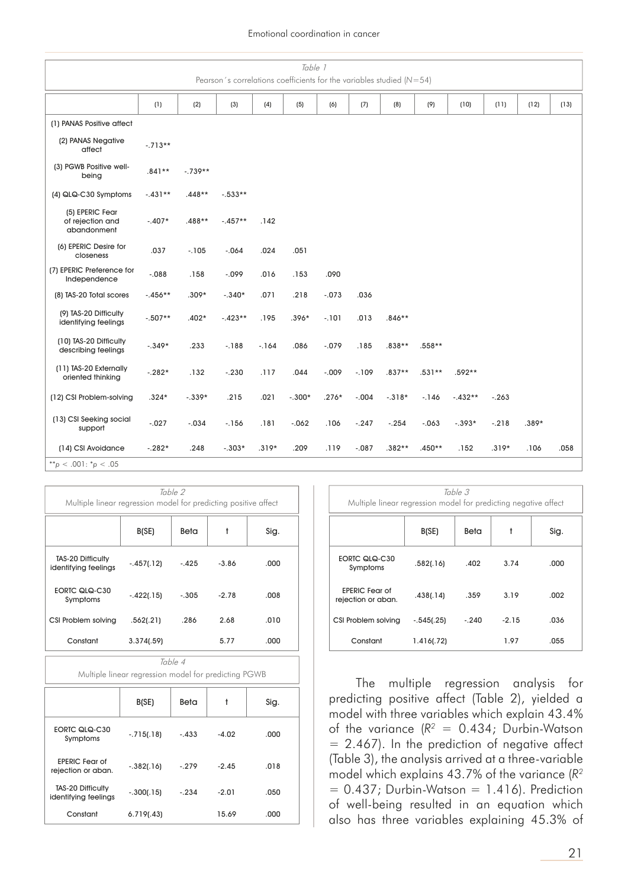#### Emotional coordination in cancer

| Table 1<br>Pearson's correlations coefficients for the variables studied ( $N=54$ ) |           |           |           |         |          |          |         |          |          |           |         |         |      |
|-------------------------------------------------------------------------------------|-----------|-----------|-----------|---------|----------|----------|---------|----------|----------|-----------|---------|---------|------|
|                                                                                     | (1)       | (2)       | (3)       | (4)     | (5)      | (6)      | (7)     | (8)      | (9)      | (10)      | (11)    | (12)    | (13) |
| (1) PANAS Positive affect                                                           |           |           |           |         |          |          |         |          |          |           |         |         |      |
| (2) PANAS Negative<br>affect                                                        | $-.713**$ |           |           |         |          |          |         |          |          |           |         |         |      |
| (3) PGWB Positive well-<br>being                                                    | $.841**$  | $-.739**$ |           |         |          |          |         |          |          |           |         |         |      |
| (4) QLQ-C30 Symptoms                                                                | $-.431**$ | $.448**$  | $-.533**$ |         |          |          |         |          |          |           |         |         |      |
| (5) EPERIC Fear<br>of rejection and<br>abandonment                                  | $-.407*$  | .488**    | $-.457**$ | .142    |          |          |         |          |          |           |         |         |      |
| (6) EPERIC Desire for<br>closeness                                                  | .037      | $-105$    | $-.064$   | .024    | .051     |          |         |          |          |           |         |         |      |
| (7) EPERIC Preference for<br>Independence                                           | $-0.088$  | .158      | $-0.099$  | .016    | .153     | .090     |         |          |          |           |         |         |      |
| (8) TAS-20 Total scores                                                             | $-.456**$ | $.309*$   | $-.340*$  | .071    | .218     | $-.073$  | .036    |          |          |           |         |         |      |
| (9) TAS-20 Difficulty<br>identifying feelings                                       | $-.507**$ | $.402*$   | $-.423**$ | .195    | $.396*$  | $-.101$  | .013    | $.846**$ |          |           |         |         |      |
| (10) TAS-20 Difficulty<br>describing feelings                                       | $-.349*$  | .233      | $-188$    | $-164$  | .086     | $-.079$  | .185    | .838**   | .558**   |           |         |         |      |
| (11) TAS-20 Externally<br>oriented thinking                                         | $-.282*$  | .132      | $-.230$   | .117    | .044     | $-0.009$ | $-109$  | $.837**$ | $.531**$ | .592**    |         |         |      |
| (12) CSI Problem-solving                                                            | $.324*$   | $-.339*$  | .215      | .021    | $-.300*$ | $.276*$  | $-.004$ | $-.318*$ | $-146$   | $-.432**$ | $-.263$ |         |      |
| (13) CSI Seeking social<br>support                                                  | $-0.27$   | $-.034$   | $-156$    | .181    | $-062$   | .106     | $-.247$ | $-.254$  | $-.063$  | $-.393*$  | $-.218$ | $.389*$ |      |
| (14) CSI Avoidance                                                                  | $-.282*$  | .248      | $-.303*$  | $.319*$ | .209     | .119     | $-.087$ | $.382**$ | $.450**$ | .152      | $.319*$ | .106    | .058 |
| **p < .001: $*$ p < .05                                                             |           |           |           |         |          |          |         |          |          |           |         |         |      |

| Table 2<br>Multiple linear regression model for predicting positive affect |              |         |         |      |  |  |  |
|----------------------------------------------------------------------------|--------------|---------|---------|------|--|--|--|
|                                                                            | B(SE)        | Beta    | t       | Sig. |  |  |  |
| TAS-20 Difficulty<br>identifying feelings                                  | $-.457(.12)$ | $-.425$ | $-3.86$ | .000 |  |  |  |
| EORTC QLQ-C30<br>Symptoms                                                  | $-.422(.15)$ | $-.305$ | $-2.78$ | .008 |  |  |  |
| CSI Problem solving                                                        | .562(.21)    | .286    | 2.68    | .010 |  |  |  |
| Constant                                                                   | 3.374(.59)   |         | 5.77    | .000 |  |  |  |

Table 4 Multiple linear regression model for predicting PGWB

|                                                  | B(SE)        | Beta    | t       | Sig. |
|--------------------------------------------------|--------------|---------|---------|------|
| EORTC QLQ-C30<br>Symptoms                        | $-.715(.18)$ | $-.433$ | $-4.02$ | .000 |
| <b>EPERIC Fear of</b><br>rejection or aban.      | $-.382(.16)$ | $-.279$ | $-2.45$ | .018 |
| <b>TAS-20 Difficulty</b><br>identifying feelings | $-.300(.15)$ | $-.234$ | $-2.01$ | .050 |
| Constant                                         | 6.719(.43)   |         | 15.69   | .000 |

| Table 3<br>Multiple linear regression model for predicting negative affect |              |         |         |      |  |  |  |
|----------------------------------------------------------------------------|--------------|---------|---------|------|--|--|--|
|                                                                            | B(SE)        | Beta    | t       | Sig. |  |  |  |
| EORTC QLQ-C30<br>Symptoms                                                  | .582(.16)    | .402    | 3.74    | .000 |  |  |  |
| <b>FPFRIC Fear of</b><br>rejection or aban.                                | .438(.14)    | .359    | 3.19    | .002 |  |  |  |
| CSI Problem solving                                                        | $-.545(.25)$ | $-.240$ | $-2.15$ | .036 |  |  |  |
| Constant                                                                   | 1.416(.72)   |         | 1.97    | .055 |  |  |  |

The multiple regression analysis for predicting positive affect (Table 2), yielded a model with three variables which explain 43.4% of the variance  $(R^2 = 0.434;$  Durbin-Watson  $= 2.467$ ). In the prediction of negative affect (Table 3), the analysis arrived at a three-variable model which explains 43.7% of the variance (*R2*  $= 0.437$ ; Durbin-Watson  $= 1.416$ ). Prediction of well-being resulted in an equation which also has three variables explaining 45.3% of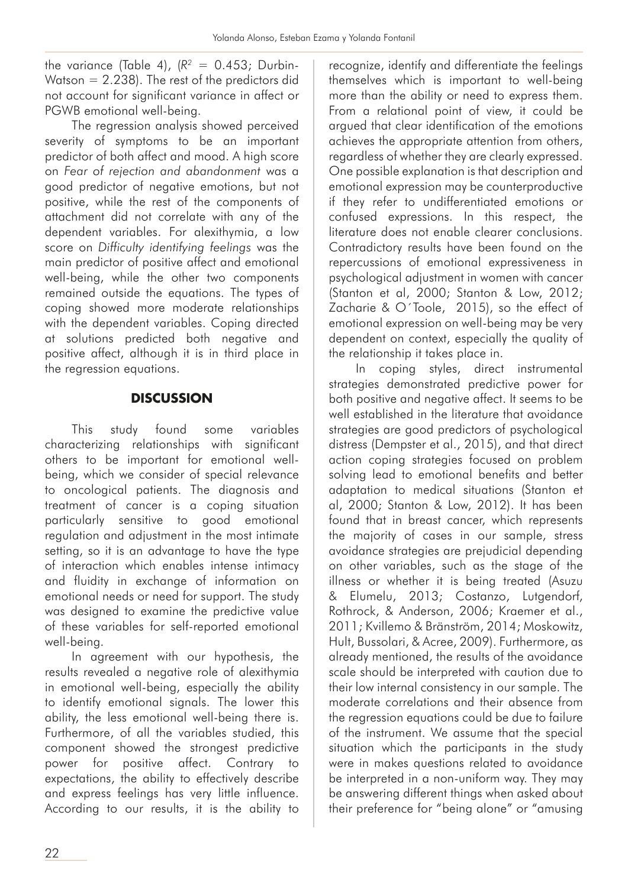the variance (Table 4), ( $R^2 = 0.453$ ; Durbin-Watson  $= 2.238$ ). The rest of the predictors did not account for significant variance in affect or PGWB emotional well-being.

The regression analysis showed perceived severity of symptoms to be an important predictor of both affect and mood. A high score on *Fear of rejection and abandonment* was a good predictor of negative emotions, but not positive, while the rest of the components of attachment did not correlate with any of the dependent variables. For alexithymia, a low score on *Difficulty identifying feelings* was the main predictor of positive affect and emotional well-being, while the other two components remained outside the equations. The types of coping showed more moderate relationships with the dependent variables. Coping directed at solutions predicted both negative and positive affect, although it is in third place in the regression equations.

# **DISCUSSION**

This study found some variables characterizing relationships with significant others to be important for emotional wellbeing, which we consider of special relevance to oncological patients. The diagnosis and treatment of cancer is a coping situation particularly sensitive to good emotional regulation and adjustment in the most intimate setting, so it is an advantage to have the type of interaction which enables intense intimacy and fluidity in exchange of information on emotional needs or need for support. The study was designed to examine the predictive value of these variables for self-reported emotional well-being.

In agreement with our hypothesis, the results revealed a negative role of alexithymia in emotional well-being, especially the ability to identify emotional signals. The lower this ability, the less emotional well-being there is. Furthermore, of all the variables studied, this component showed the strongest predictive power for positive affect. Contrary to expectations, the ability to effectively describe and express feelings has very little influence. According to our results, it is the ability to recognize, identify and differentiate the feelings themselves which is important to well-being more than the ability or need to express them. From a relational point of view, it could be argued that clear identification of the emotions achieves the appropriate attention from others, regardless of whether they are clearly expressed. One possible explanation is that description and emotional expression may be counterproductive if they refer to undifferentiated emotions or confused expressions. In this respect, the literature does not enable clearer conclusions. Contradictory results have been found on the repercussions of emotional expressiveness in psychological adjustment in women with cancer (Stanton et al, 2000; Stanton & Low, 2012; Zacharie & O´Toole, 2015), so the effect of emotional expression on well-being may be very dependent on context, especially the quality of the relationship it takes place in.

In coping styles, direct instrumental strategies demonstrated predictive power for both positive and negative affect. It seems to be well established in the literature that avoidance strategies are good predictors of psychological distress (Dempster et al., 2015), and that direct action coping strategies focused on problem solving lead to emotional benefits and better adaptation to medical situations (Stanton et al, 2000; Stanton & Low, 2012). It has been found that in breast cancer, which represents the majority of cases in our sample, stress avoidance strategies are prejudicial depending on other variables, such as the stage of the illness or whether it is being treated (Asuzu & Elumelu, 2013; Costanzo, Lutgendorf, Rothrock, & Anderson, 2006; Kraemer et al., 2011; Kvillemo & Bränström, 2014; Moskowitz, Hult, Bussolari, & Acree, 2009). Furthermore, as already mentioned, the results of the avoidance scale should be interpreted with caution due to their low internal consistency in our sample. The moderate correlations and their absence from the regression equations could be due to failure of the instrument. We assume that the special situation which the participants in the study were in makes questions related to avoidance be interpreted in a non-uniform way. They may be answering different things when asked about their preference for "being alone" or "amusing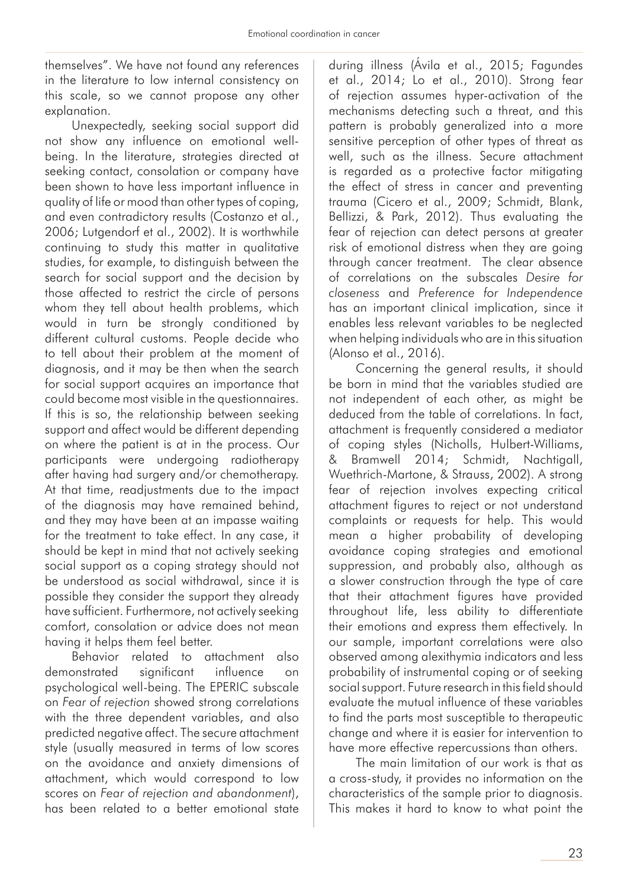themselves". We have not found any references in the literature to low internal consistency on this scale, so we cannot propose any other explanation.

Unexpectedly, seeking social support did not show any influence on emotional wellbeing. In the literature, strategies directed at seeking contact, consolation or company have been shown to have less important influence in quality of life or mood than other types of coping, and even contradictory results (Costanzo et al., 2006; Lutgendorf et al., 2002). It is worthwhile continuing to study this matter in qualitative studies, for example, to distinguish between the search for social support and the decision by those affected to restrict the circle of persons whom they tell about health problems, which would in turn be strongly conditioned by different cultural customs. People decide who to tell about their problem at the moment of diagnosis, and it may be then when the search for social support acquires an importance that could become most visible in the questionnaires. If this is so, the relationship between seeking support and affect would be different depending on where the patient is at in the process. Our participants were undergoing radiotherapy after having had surgery and/or chemotherapy. At that time, readjustments due to the impact of the diagnosis may have remained behind, and they may have been at an impasse waiting for the treatment to take effect. In any case, it should be kept in mind that not actively seeking social support as a coping strategy should not be understood as social withdrawal, since it is possible they consider the support they already have sufficient. Furthermore, not actively seeking comfort, consolation or advice does not mean having it helps them feel better.

Behavior related to attachment also demonstrated significant influence on psychological well-being. The EPERIC subscale on *Fear of rejection* showed strong correlations with the three dependent variables, and also predicted negative affect. The secure attachment style (usually measured in terms of low scores on the avoidance and anxiety dimensions of attachment, which would correspond to low scores on *Fear of rejection and abandonment*), has been related to a better emotional state

during illness (Ávila et al., 2015; Fagundes et al., 2014; Lo et al., 2010). Strong fear of rejection assumes hyper-activation of the mechanisms detecting such a threat, and this pattern is probably generalized into a more sensitive perception of other types of threat as well, such as the illness. Secure attachment is regarded as a protective factor mitigating the effect of stress in cancer and preventing trauma (Cicero et al., 2009; Schmidt, Blank, Bellizzi, & Park, 2012). Thus evaluating the fear of rejection can detect persons at greater risk of emotional distress when they are going through cancer treatment. The clear absence of correlations on the subscales *Desire for closeness* and *Preference for Independence* has an important clinical implication, since it enables less relevant variables to be neglected when helping individuals who are in this situation (Alonso et al., 2016).

Concerning the general results, it should be born in mind that the variables studied are not independent of each other, as might be deduced from the table of correlations. In fact, attachment is frequently considered a mediator of coping styles (Nicholls, Hulbert-Williams, & Bramwell 2014; Schmidt, Nachtigall, Wuethrich-Martone, & Strauss, 2002). A strong fear of rejection involves expecting critical attachment figures to reject or not understand complaints or requests for help. This would mean a higher probability of developing avoidance coping strategies and emotional suppression, and probably also, although as a slower construction through the type of care that their attachment figures have provided throughout life, less ability to differentiate their emotions and express them effectively. In our sample, important correlations were also observed among alexithymia indicators and less probability of instrumental coping or of seeking social support. Future research in this field should evaluate the mutual influence of these variables to find the parts most susceptible to therapeutic change and where it is easier for intervention to have more effective repercussions than others.

The main limitation of our work is that as a cross-study, it provides no information on the characteristics of the sample prior to diagnosis. This makes it hard to know to what point the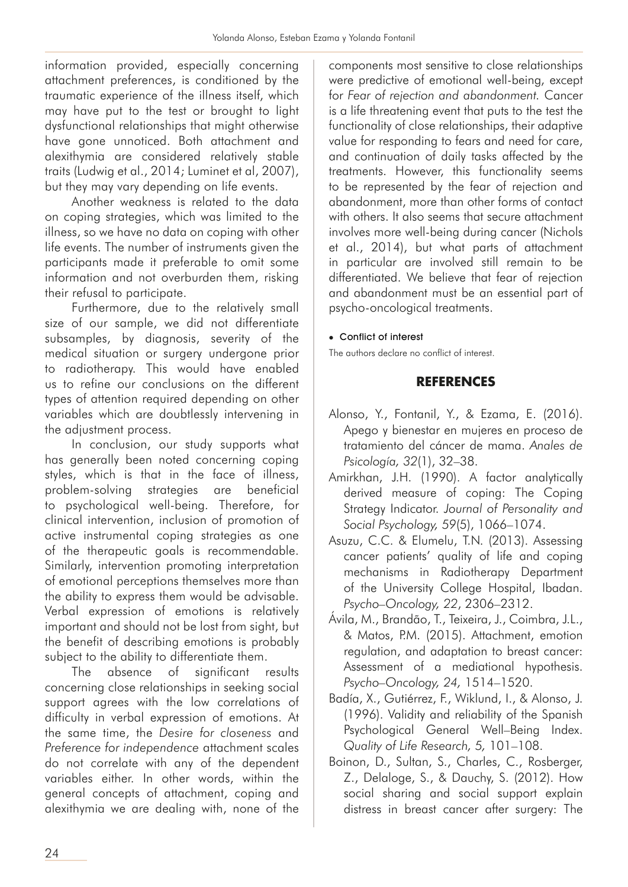information provided, especially concerning attachment preferences, is conditioned by the traumatic experience of the illness itself, which may have put to the test or brought to light dysfunctional relationships that might otherwise have gone unnoticed. Both attachment and alexithymia are considered relatively stable traits (Ludwig et al., 2014; Luminet et al, 2007), but they may vary depending on life events.

Another weakness is related to the data on coping strategies, which was limited to the illness, so we have no data on coping with other life events. The number of instruments given the participants made it preferable to omit some information and not overburden them, risking their refusal to participate.

Furthermore, due to the relatively small size of our sample, we did not differentiate subsamples, by diagnosis, severity of the medical situation or surgery undergone prior to radiotherapy. This would have enabled us to refine our conclusions on the different types of attention required depending on other variables which are doubtlessly intervening in the adjustment process.

In conclusion, our study supports what has generally been noted concerning coping styles, which is that in the face of illness, problem-solving strategies are beneficial to psychological well-being. Therefore, for clinical intervention, inclusion of promotion of active instrumental coping strategies as one of the therapeutic goals is recommendable. Similarly, intervention promoting interpretation of emotional perceptions themselves more than the ability to express them would be advisable. Verbal expression of emotions is relatively important and should not be lost from sight, but the benefit of describing emotions is probably subject to the ability to differentiate them.

The absence of significant results concerning close relationships in seeking social support agrees with the low correlations of difficulty in verbal expression of emotions. At the same time, the *Desire for closeness* and *Preference for independence* attachment scales do not correlate with any of the dependent variables either. In other words, within the general concepts of attachment, coping and alexithymia we are dealing with, none of the

components most sensitive to close relationships were predictive of emotional well-being, except for *Fear of rejection and abandonment.* Cancer is a life threatening event that puts to the test the functionality of close relationships, their adaptive value for responding to fears and need for care, and continuation of daily tasks affected by the treatments. However, this functionality seems to be represented by the fear of rejection and abandonment, more than other forms of contact with others. It also seems that secure attachment involves more well-being during cancer (Nichols et al., 2014), but what parts of attachment in particular are involved still remain to be differentiated. We believe that fear of rejection and abandonment must be an essential part of psycho-oncological treatments.

#### • Conflict of interest

The authors declare no conflict of interest.

## **REFERENCES**

- Alonso, Y., Fontanil, Y., & Ezama, E. (2016). Apego y bienestar en mujeres en proceso de tratamiento del cáncer de mama. *Anales de Psicología, 32*(1), 32–38.
- Amirkhan, J.H. (1990). A factor analytically derived measure of coping: The Coping Strategy Indicator. *Journal of Personality and Social Psychology, 59*(5), 1066–1074.
- Asuzu, C.C. & Elumelu, T.N. (2013). Assessing cancer patients' quality of life and coping mechanisms in Radiotherapy Department of the University College Hospital, Ibadan. *Psycho–Oncology, 22*, 2306–2312.
- Ávila, M., Brandão, T., Teixeira, J., Coimbra, J.L., & Matos, P.M. (2015). Attachment, emotion regulation, and adaptation to breast cancer: Assessment of a mediational hypothesis. *Psycho–Oncology, 24,* 1514–1520.
- Badía, X., Gutiérrez, F., Wiklund, I., & Alonso, J. (1996). Validity and reliability of the Spanish Psychological General Well–Being Index. *Quality of Life Research, 5,* 101–108.
- Boinon, D., Sultan, S., Charles, C., Rosberger, Z., Delaloge, S., & Dauchy, S. (2012). How social sharing and social support explain distress in breast cancer after surgery: The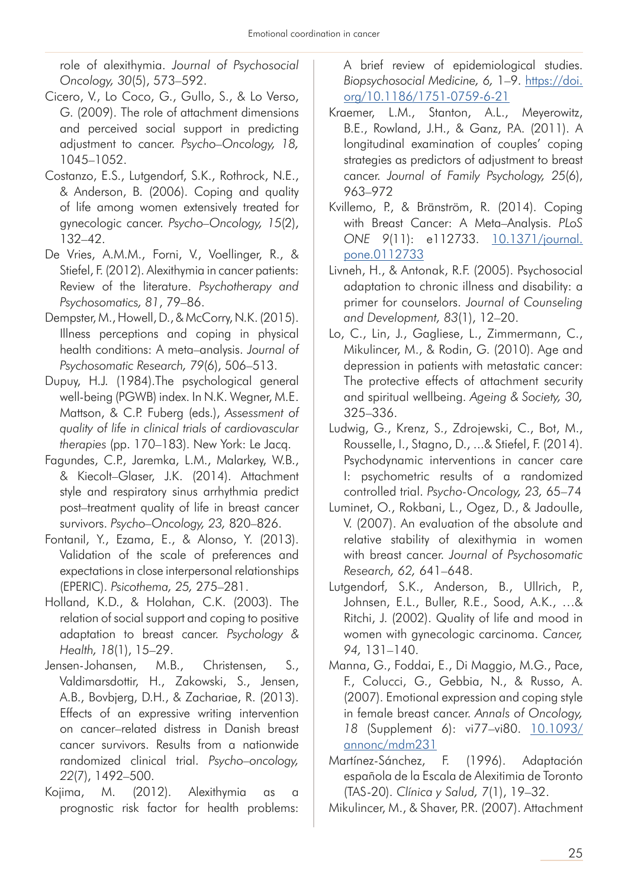role of alexithymia. *Journal of Psychosocial Oncology, 30*(5), 573–592.

- Cicero, V., Lo Coco, G., Gullo, S., & Lo Verso, G. (2009). The role of attachment dimensions and perceived social support in predicting adjustment to cancer. *Psycho–Oncology, 18,*  1045–1052.
- Costanzo, E.S., Lutgendorf, S.K., Rothrock, N.E., & Anderson, B. (2006). Coping and quality of life among women extensively treated for gynecologic cancer. *Psycho–Oncology, 15*(2), 132–42.
- De Vries, A.M.M., Forni, V., Voellinger, R., & Stiefel, F. (2012). Alexithymia in cancer patients: Review of the literature. *Psychotherapy and Psychosomatics, 81*, 79–86.
- Dempster, M., Howell, D., & McCorry, N.K. (2015). Illness perceptions and coping in physical health conditions: A meta–analysis. *Journal of Psychosomatic Research, 79*(6), 506–513.
- Dupuy, H.J. (1984).The psychological general well-being (PGWB) index. In N.K. Wegner, M.E. Mattson, & C.P. Fuberg (eds.), *Assessment of quality of life in clinical trials of cardiovascular therapies* (pp. 170–183). New York: Le Jacq.
- Fagundes, C.P., Jaremka, L.M., Malarkey, W.B., & Kiecolt–Glaser, J.K. (2014). Attachment style and respiratory sinus arrhythmia predict post–treatment quality of life in breast cancer survivors. *Psycho–Oncology, 23,* 820–826.
- Fontanil, Y., Ezama, E., & Alonso, Y. (2013). Validation of the scale of preferences and expectations in close interpersonal relationships (EPERIC). *Psicothema, 25,* 275–281.
- Holland, K.D., & Holahan, C.K. (2003). The relation of social support and coping to positive adaptation to breast cancer. *Psychology & Health, 18*(1), 15–29.
- Jensen-Johansen, M.B., Christensen, S., Valdimarsdottir, H., Zakowski, S., Jensen, A.B., Bovbjerg, D.H., & Zachariae, R. (2013). Effects of an expressive writing intervention on cancer–related distress in Danish breast cancer survivors. Results from a nationwide randomized clinical trial. *Psycho–oncology, 22*(7), 1492–500.
- Kojima, M. (2012). Alexithymia as a prognostic risk factor for health problems:

A brief review of epidemiological studies. *Biopsychosocial Medicine, 6,* 1–9. [https://doi.](https://doi.org/10.1186/1751-0759-6-21) [org/10.1186/1751-0759-6-21](https://doi.org/10.1186/1751-0759-6-21)

- Kraemer, L.M., Stanton, A.L., Meyerowitz, B.E., Rowland, J.H., & Ganz, P.A. (2011). A longitudinal examination of couples' coping strategies as predictors of adjustment to breast cancer. *Journal of Family Psychology, 25*(6), 963–972
- Kvillemo, P., & Bränström, R. (2014). Coping with Breast Cancer: A Meta–Analysis. *PLoS ONE 9*(11): e112733. [10.1371/journal.](http://dx.doi.org/10.1371/journal.pone.0112733) [pone.0112733](http://dx.doi.org/10.1371/journal.pone.0112733)
- Livneh, H., & Antonak, R.F. (2005). Psychosocial adaptation to chronic illness and disability: a primer for counselors. *Journal of Counseling and Development, 83*(1), 12–20.
- Lo, C., Lin, J., Gagliese, L., Zimmermann, C., Mikulincer, M., & Rodin, G. (2010). Age and depression in patients with metastatic cancer: The protective effects of attachment security and spiritual wellbeing. *Ageing & Society, 30,*  325–336.
- Ludwig, G., Krenz, S., Zdrojewski, C., Bot, M., Rousselle, I., Stagno, D., ...& Stiefel, F. (2014). Psychodynamic interventions in cancer care I: psychometric results of a randomized controlled trial. *Psycho-Oncology, 23,* 65–74
- Luminet, O., Rokbani, L., Ogez, D., & Jadoulle, V. (2007). An evaluation of the absolute and relative stability of alexithymia in women with breast cancer. *Journal of Psychosomatic Research, 62,* 641–648.
- Lutgendorf, S.K., Anderson, B., Ullrich, P., Johnsen, E.L., Buller, R.E., Sood, A.K., …& Ritchi, J. (2002). Quality of life and mood in women with gynecologic carcinoma. *Cancer, 94,* 131–140.
- Manna, G., Foddai, E., Di Maggio, M.G., Pace, F., Colucci, G., Gebbia, N., & Russo, A. (2007). Emotional expression and coping style in female breast cancer. *Annals of Oncology, 18* (Supplement 6): vi77–vi80. [10.1093/](http://dx.doi.org/10.1093/annonc/mdm231) [annonc/mdm231](http://dx.doi.org/10.1093/annonc/mdm231)
- Martínez-Sánchez, F. (1996). Adaptación española de la Escala de Alexitimia de Toronto (TAS-20). *Clínica y Salud, 7*(1), 19–32.
- Mikulincer, M., & Shaver, P.R. (2007). Attachment